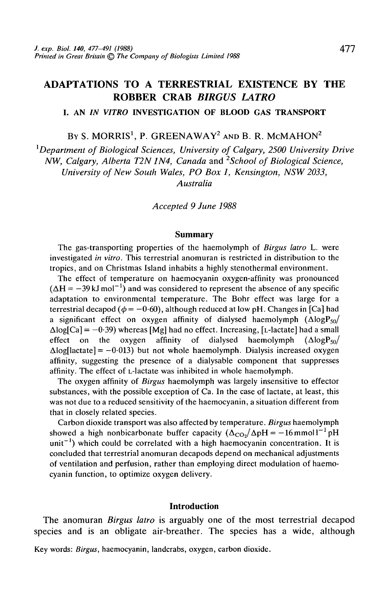# ADAPTATIONS TO A TERRESTRIAL EXISTENCE BY THE ROBBER CRAB *BIRGUS LATRO*

**I. AN** *IN VITRO* **INVESTIGATION OF BLOOD GAS TRANSPORT**

**BY S. MORRIS<sup>1</sup> , P. GREEN AW AY<sup>2</sup> AND B. R. McMAHON<sup>2</sup>**

<sup>1</sup>Department of Biological Sciences, University of Calgary, 2500 University Drive *NW, Calgary, Alberta T2N 1N4, Canada* and *2School of Biological Science, University of New South Wales, PO Box 1, Kensington, NSW 2033, Australia*

*Accepted 9 June 1988*

#### **Summary**

The gas-transporting properties of the haemolymph of *Birgus latro* L. were investigated *in vitro.* This terrestrial anomuran is restricted in distribution to the tropics, and on Christmas Island inhabits a highly stenothermal environment.

The effect of temperature on haemocyanin oxygen-affinity was pronounced  $(\Delta H = -39 \text{ kJ mol}^{-1})$  and was considered to represent the absence of any specific adaptation to environmental temperature. The Bohr effect was large for a terrestrial decapod ( $\phi = -0.60$ ), although reduced at low pH. Changes in [Ca] had a significant effect on oxygen affinity of dialysed haemolymph  $(\Delta log P_{50}/$  $\Delta$ log[Ca] = -0.39) whereas [Mg] had no effect. Increasing, [L-lactate] had a small effect on the oxygen affinity of dialysed haemolymph  $(\Delta log P_{50}/$  $\Delta$ log[lactate] = -0.013) but not whole haemolymph. Dialysis increased oxygen affinity, suggesting the presence of a dialysable component that suppresses affinity. The effect of L-lactate was inhibited in whole haemolymph.

The oxygen affinity of *Birgus* haemolymph was largely insensitive to effector substances, with the possible exception of Ca. In the case of lactate, at least, this was not due to a reduced sensitivity of the haemocyanin, a situation different from that in closely related species.

Carbon dioxide transport was also affected by temperature. *Birgus* haemolymph showed a high nonbicarbonate buffer capacity  $(\Delta_{CO_2}/\Delta pH = -16$ mmoll<sup>-1</sup> pH  $unit^{-1}$ ) which could be correlated with a high haemocyanin concentration. It is concluded that terrestrial anomuran decapods depend on mechanical adjustments of ventilation and perfusion, rather than employing direct modulation of haemocyanin function, to optimize oxygen delivery.

#### **Introduction**

The anomuran *Birgus latro* is arguably one of the most terrestrial decapod species and is an obligate air-breather. The species has a wide, although

Key words: *Birgus,* haemocyanin, landcrabs, oxygen, carbon dioxide.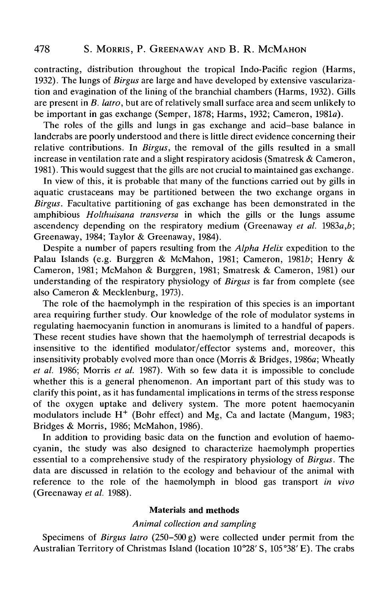contracting, distribution throughout the tropical Indo-Pacific region (Harms, 1932). The lungs of *Birgus* are large and have developed by extensive vascularization and evagination of the lining of the branchial chambers (Harms, 1932). Gills are present in *B. latro,* but are of relatively small surface area and seem unlikely to be important in gas exchange (Semper, 1878; Harms, 1932; Cameron, 1981a).

The roles of the gills and lungs in gas exchange and acid-base balance in landcrabs are poorly understood and there is little direct evidence concerning their relative contributions. In *Birgus,* the removal of the gills resulted in a small increase in ventilation rate and a slight respiratory acidosis (Smatresk & Cameron, 1981). This would suggest that the gills are not crucial to maintained gas exchange.

In view of this, it is probable that many of the functions carried out by gills in aquatic crustaceans may be partitioned between the two exchange organs in *Birgus.* Facultative partitioning of gas exchange has been demonstrated in the amphibious *Holthuisana transversa* in which the gills or the lungs assume ascendency depending on the respiratory medium (Greenaway *et al.* 1983a,*b;* Greenaway, 1984; Taylor & Greenaway, 1984).

Despite a number of papers resulting from the *Alpha Helix* expedition to the Palau Islands (e.g. Burggren & McMahon, 1981; Cameron, 1981b; Henry & Cameron, 1981; McMahon & Burggren, 1981; Smatresk & Cameron, 1981) our understanding of the respiratory physiology of *Birgus* is far from complete (see also Cameron & Mecklenburg, 1973).

The role of the haemolymph in the respiration of this species is an important area requiring further study. Our knowledge of the role of modulator systems in regulating haemocyanin function in anomurans is limited to a handful of papers. These recent studies have shown that the haemolymph of terrestrial decapods is insensitive to the identified modulator/effector systems and, moreover, this insensitivity probably evolved more than once (Morris & Bridges, 1986a; Wheatly *et al.* 1986; Morris *et al.* 1987). With so few data it is impossible to conclude whether this is a general phenomenon. An important part of this study was to clarify this point, as it has fundamental implications in terms of the stress response of the oxygen uptake and delivery system. The more potent haemocyanin modulators include  $H^+$  (Bohr effect) and Mg, Ca and lactate (Mangum, 1983; Bridges & Morris, 1986; McMahon, 1986).

In addition to providing basic data on the function and evolution of haemocyanin, the study was also designed to characterize haemolymph properties essential to a comprehensive study of the respiratory physiology of *Birgus.* The data are discussed in relation to the ecology and behaviour of the animal with reference to the role of the haemolymph in blood gas transport *in vivo* (Greenaway *et al.* 1988).

## Materials and methods

## *Animal collection and sampling*

Specimens of *Birgus latro* (250-500 g) were collected under permit from the Australian Territory of Christmas Island (location 10°28' S, 105 °38' E). The crabs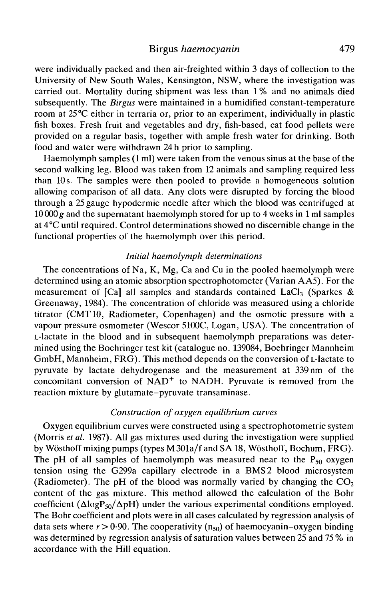were individually packed and then air-freighted within 3 days of collection to the University of New South Wales, Kensington, NSW, where the investigation was carried out. Mortality during shipment was less than 1 % and no animals died subsequently. The *Birgus* were maintained in a humidified constant-temperature room at 25°C either in terraria or, prior to an experiment, individually in plastic fish boxes. Fresh fruit and vegetables and dry, fish-based, cat food pellets were provided on a regular basis, together with ample fresh water for drinking. Both food and water were withdrawn 24 h prior to sampling.

Haemolymph samples (1 ml) were taken from the venous sinus at the base of the second walking leg. Blood was taken from 12 animals and sampling required less than 10 s. The samples were then pooled to provide a homogeneous solution allowing comparison of all data. Any clots were disrupted by forcing the blood through a 25 gauge hypodermic needle after which the blood was centrifuged at 10 000 *g* and the supernatant haemolymph stored for up to 4 weeks in 1 ml samples at 4°C until required. Control determinations showed no discernible change in the functional properties of the haemolymph over this period.

### *Initial haemolymph determinations*

The concentrations of Na, K, Mg, Ca and Cu in the pooled haemolymph were determined using an atomic absorption spectrophotometer (Varian AA5). For the measurement of  $[Ca]$  all samples and standards contained LaCl<sub>3</sub> (Sparkes & Greenaway, 1984). The concentration of chloride was measured using a chloride titrator (CMT10, Radiometer, Copenhagen) and the osmotic pressure with a vapour pressure osmometer (Wescor 5100C, Logan, USA). The concentration of L-lactate in the blood and in subsequent haemolymph preparations was determined using the Boehringer test kit (catalogue no. 139084, Boehringer Mannheim GmbH, Mannheim, FRG). This method depends on the conversion of L-lactate to pyruvate by lactate dehydrogenase and the measurement at 339 nm of the  $\frac{1}{2}$  concomitant conversion of NAD<sup>+</sup> to NADH. Pyruvate is removed from the reaction mixture by glutamate-pyruvate transaminase.

## *Construction of oxygen equilibrium curves*

Oxygen equilibrium curves were constructed using a spectrophotometric system (Morris *et al.* 1987). All gas mixtures used during the investigation were supplied by Wosthoff mixing pumps (types M301a/f and SA18, Wosthoff, Bochum, FRG). The pH of all samples of haemolymph was measured near to the  $P_{50}$  oxygen tension using the G299a capillary electrode in a BMS2 blood microsystem (Radiometer). The pH of the blood was normally varied by changing the  $CO<sub>2</sub>$ content of the gas mixture. This method allowed the calculation of the Bohr coefficient ( $\Delta$ logP<sub>50</sub>/ $\Delta$ pH) under the various experimental conditions employed. The Bohr coefficient and plots were in all cases calculated by regression analysis of data sets where  $r > 0.90$ . The cooperativity ( $n_{50}$ ) of haemocyanin-oxygen binding was determined by regression analysis of saturation values between 25 and 75 % in accordance with the Hill equation.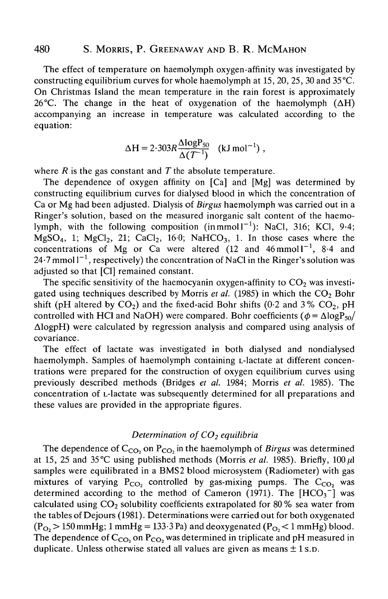The effect of temperature on haemolymph oxygen-affinity was investigated by constructing equilibrium curves for whole haemolymph at 15, 20, 25, 30 and 35 °C. On Christmas Island the mean temperature in the rain forest is approximately 26<sup>°</sup>C. The change in the heat of oxygenation of the haemolymph  $( \Delta H)$ accompanying an increase in temperature was calculated according to the equation:

$$
\Delta H = 2.303R \frac{\Delta \log P_{50}}{\Delta (T^{-1})} \quad (\text{kJ mol}^{-1}) \ ,
$$

where *R* is the gas constant and *T* the absolute temperature.

The dependence of oxygen affinity on [Ca] and [Mg] was determined by constructing equilibrium curves for dialysed blood in which the concentration of Ca or Mg had been adjusted. Dialysis of *Birgus* haemolymph was carried out in a Ringer's solution, based on the measured inorganic salt content of the haemolymph, with the following composition (in mmoll<sup>-1</sup>): NaCl, 316; KCl, 9.4;  $MgSO<sub>4</sub>$ , 1;  $MgCl<sub>2</sub>$ , 21;  $CaCl<sub>2</sub>$ , 16.0;  $NaHCO<sub>3</sub>$ , 1. In those cases where the concentrations of Mg or Ca were altered (12 and  $46$ mmoll<sup>-1</sup>, 8.4 and 24 $\cdot$ 7 mmol l $^{-1}$ , respectively) the concentration of NaCl in the Ringer's solution was adjusted so that [Cl] remained constant.

The specific sensitivity of the haemocyanin oxygen-affinity to  $CO<sub>2</sub>$  was investigated using techniques described by Morris et al. (1985) in which the CO<sub>2</sub> Bohr shift (pH altered by  $CO<sub>2</sub>$ ) and the fixed-acid Bohr shifts (0.2 and 3%  $CO<sub>2</sub>$ , pH controlled with HCl and NaOH) were compared. Bohr coefficients ( $\phi = \Delta \log P_{50}$ / AlogpH) were calculated by regression analysis and compared using analysis of covariance.

The effect of lactate was investigated in both dialysed and nondialysed haemolymph. Samples of haemolymph containing L-lactate at different concentrations were prepared for the construction of oxygen equilibrium curves using previously described methods (Bridges *et al.* 1984; Morris *et al.* 1985). The concentration of L-lactate was subsequently determined for all preparations and these values are provided in the appropriate figures.

### *Determination of CO<sub>2</sub> equilibria*

The dependence of  $\mathcal{C}_{\mathcal{CO}_2}$  on  $\mathcal{P}_{\mathcal{CO}_2}$  in the haemolymph of *Birgus* was determined at 15, 25 and 35 °C using published methods (Morris et al. 1985). Briefly,  $100 \mu l$ samples were equilibrated in a BMS2 blood microsystem (Radiometer) with gas mixtures of varying  $P_{CO_2}$  controlled by gas-mixing pumps. The  $C_{CO_2}$  was determined according to the method of Cameron (1971). The  $[HCO_3^-]$  was calculated using  $CO<sub>2</sub>$  solubility coefficients extrapolated for 80 % sea water from the tables of Dejours (1981). Determinations were carried out for both oxygenated  $(P_{O_2} > 150$  mmHg; 1 mmHg = 133.3 Pa) and deoxygenated  $(P_{O_2} < 1$  mmHg) blood. The dependence of C<sub>CO</sub>, on P<sub>CO</sub>, was determined in triplicate and pH measured in duplicate. Unless otherwise stated all values are given as means  $\pm$  1 s.p.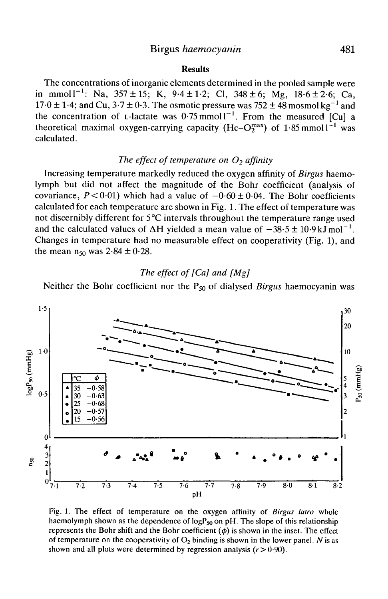## Birgus *haemocyanin* 481

## **Results**

The concentrations of inorganic elements determined in the pooled sample were in mmoll<sup>-1</sup>: Na,  $357 \pm 15$ ; K,  $9.4 \pm 1.2$ ; Cl,  $348 \pm 6$ ; Mg,  $18.6 \pm 2.6$ ; Ca, 17 $\cdot$ 0  $\pm$  1 $\cdot$ 4; and Cu, 3 $\cdot$ 7  $\pm$  0 $\cdot$ 3. The osmotic pressure was 752  $\pm$  48 mosmol kg<sup>-1</sup> and the concentration of L-lactate was  $0.75 \text{ mmol}^{-1}$ . From the measured [Cu] a theoretical maximal oxygen-carrying capacity (Hc– $O_2^{max}$ ) of 1.85 mmoll<sup>-1</sup> was calculated.

## *The effect of temperature on O<sub>2</sub> affinity*

Increasing temperature markedly reduced the oxygen affinity of *Birgus* haemolymph but did not affect the magnitude of the Bohr coefficient (analysis of covariance,  $P < 0.01$ ) which had a value of  $-0.60 \pm 0.04$ . The Bohr coefficients calculated for each temperature are shown in Fig. 1. The effect of temperature was not discernibly different for 5°C intervals throughout the temperature range used and the calculated values of  $\Delta H$  yielded a mean value of  $-38.5 \pm 10.9 \text{ kJ} \text{mol}^{-1}$ . Changes in temperature had no measurable effect on cooperativity (Fig. 1), and the mean  $n_{50}$  was  $2.84 \pm 0.28$ .

## *The effect of [Ca] and [Mg]*

Neither the Bohr coefficient nor the P<sub>50</sub> of dialysed *Birgus* haemocyanin was



Fig. 1. The effect of temperature on the oxygen affinity of *Birgus latro* whole haemolymph shown as the dependence of  $logP_{50}$  on pH. The slope of this relationship represents the Bohr shift and the Bohr coefficient  $(\phi)$  is shown in the inset. The effect of temperature on the cooperativity of  $O_2$  binding is shown in the lower panel. N is as shown and all plots were determined by regression analysis  $(r>0.90)$ .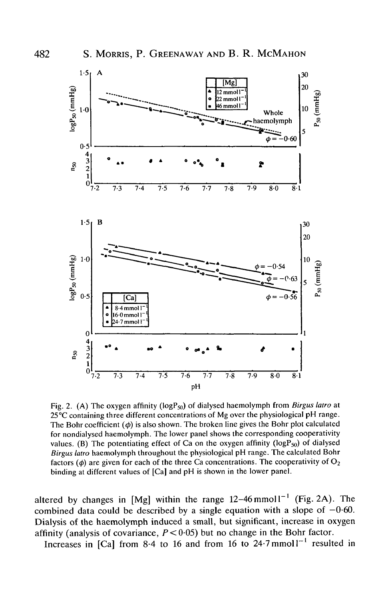

Fig. 2. (A) The oxygen affinity (logP<sub>50</sub>) of dialysed haemolymph from *Birgus latro* at 25°C containing three different concentrations of Mg over the physiological pH range. The Bohr coefficient  $(\phi)$  is also shown. The broken line gives the Bohr plot calculated for nondialysed haemolymph. The lower panel shows the corresponding cooperativity values. (B) The potentiating effect of Ca on the oxygen affinity ( $logP_{50}$ ) of dialysed *Birgus latro* haemolymph throughout the physiological pH range. The calculated Bohr factors  $(\phi)$  are given for each of the three Ca concentrations. The cooperativity of  $O_2$ binding at different values of [Ca] and pH is shown in the lower panel.

altered by changes in  $[Mg]$  within the range  $12-46$  mmoll<sup>-1</sup> (Fig. 2A). The combined data could be described by a single equation with a slope of  $-0.60$ . Dialysis of the haemolymph induced a small, but significant, increase in oxygen affinity (analysis of covariance,  $P < 0.05$ ) but no change in the Bohr factor.

Increases in [Ca] from 8.4 to 16 and from 16 to 24.7 mmol1<sup>-1</sup> resulted in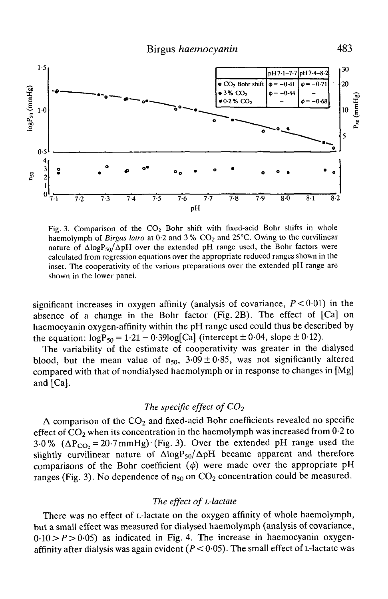

Fig. 3. Comparison of the  $CO<sub>2</sub>$  Bohr shift with fixed-acid Bohr shifts in whole haemolymph of *Birgus latro* at 0.2 and 3% CO<sub>2</sub> and 25<sup>o</sup>C. Owing to the curvilinear nature of  $\Delta$ logP<sub>50</sub>/ $\Delta$ pH over the extended pH range used, the Bohr factors were calculated from regression equations over the appropriate reduced ranges shown in the inset. The cooperativity of the various preparations over the extended pH range are shown in the lower panel.

significant increases in oxygen affinity (analysis of covariance,  $P < 0.01$ ) in the absence of a change in the Bohr factor (Fig. 2B). The effect of [Ca] on haemocyanin oxygen-affinity within the pH range used could thus be described by the equation:  $logP_{50} = 1.21 - 0.39log[Ca]$  (intercept  $\pm 0.04$ , slope  $\pm 0.12$ ).

The variability of the estimate of cooperativity was greater in the dialysed blood, but the mean value of  $n_{50}$ ,  $3.09 \pm 0.85$ , was not significantly altered compared with that of nondialysed haemolymph or in response to changes in [Mg] and [Ca].

## *The specific effect of CO<sub>2</sub>*

A comparison of the  $CO<sub>2</sub>$  and fixed-acid Bohr coefficients revealed no specific effect of  $CO<sub>2</sub>$  when its concentration in the haemolymph was increased from 0.2 to 3.0%  $(\Delta P_{CO_2} = 20.7 \text{ mmHg})$  (Fig. 3). Over the extended pH range used the slightly curvilinear nature of  $\Delta$ logP<sub>50</sub>/ $\Delta$ pH became apparent and therefore comparisons of the Bohr coefficient  $(\phi)$  were made over the appropriate pH ranges (Fig. 3). No dependence of  $n_{50}$  on  $CO_2$  concentration could be measured.

## *The effect of L-lactate*

There was no effect of L-lactate on the oxygen affinity of whole haemolymph, but a small effect was measured for dialysed haemolymph (analysis of covariance,  $0.10 > P > 0.05$  as indicated in Fig. 4. The increase in haemocyanin oxygenaffinity after dialysis was again evident  $(P < 0.05)$ . The small effect of L-lactate was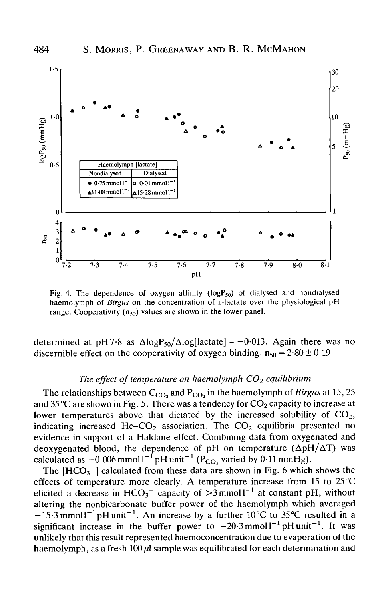

Fig. 4. The dependence of oxygen affinity  $(logP_{50})$  of dialysed and nondialysed haemolymph of *Birgus* on the concentration of L-lactate over the physiological pH range. Cooperativity  $(n_{50})$  values are shown in the lower panel.

determined at pH7.8 as  $\Delta$ logP<sub>50</sub>/ $\Delta$ log[lactate] = -0.013. Again there was no discernible effect on the cooperativity of oxygen binding,  $n_{50} = 2.80 \pm 0.19$ .

## The effect of temperature on haemolymph CO<sub>2</sub> equilibrium

The relationships between  $C_{CO_2}$  and  $P_{CO_2}$  in the haemolymph of *Birgus* at 15, 25 and 35 °C are shown in Fig. 5. There was a tendency for  $CO_2$  capacity to increase at lower temperatures above that dictated by the increased solubility of  $CO<sub>2</sub>$ , indicating increased Hc–CO<sub>2</sub> association. The  $CO<sub>2</sub>$  equilibria presented no evidence in support of a Haldane effect. Combining data from oxygenated and deoxygenated blood, the dependence of pH on temperature  $(\Delta pH/\Delta T)$  was calculated as  $-0.006$  mmol  $1^{-1}$  pH unit<sup>-1</sup> (P<sub>CO2</sub> varied by 0.11 mmHg).

The  $[HCO_3^-]$  calculated from these data are shown in Fig. 6 which shows the effects of temperature more clearly. A temperature increase from 15 to 25°C elicited a decrease in  $HCO_3^-$  capacity of  $>3$  mmoll<sup>-1</sup> at constant pH, without altering the nonbicarbonate buffer power of the haemolymph which averaged  $-15.3$  mmoll<sup>-1</sup> pH unit<sup>-1</sup>. An increase by a further 10°C to 35°C resulted in a significant increase in the buffer power to  $-20.3$  mmol  $1^{-1}$  pH unit<sup>-1</sup>. It was unlikely that this result represented haemoconcentration due to evaporation of the haemolymph, as a fresh 100  $\mu$ l sample was equilibrated for each determination and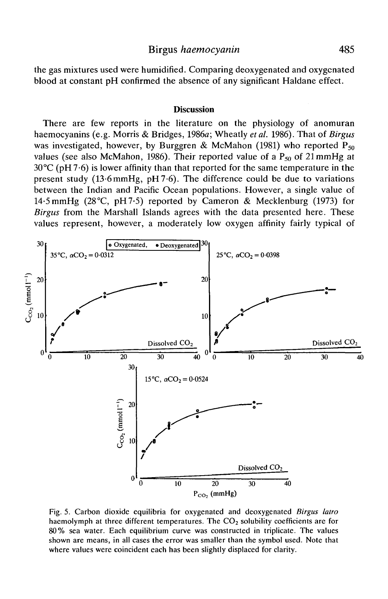## Birgus *haemocyanin* 485

the gas mixtures used were humidified. Comparing deoxygenated and oxygenated blood at constant pH confirmed the absence of any significant Haldane effect.

#### **Discussion**

There are few reports in the literature on the physiology of anomuran haemocyanins (e.g. Morris & Bridges, 1986a; Wheatly *et al.* 1986). That of *Birgus* was investigated, however, by Burggren & McMahon (1981) who reported  $P_{50}$ values (see also McMahon, 1986). Their reported value of a  $P_{50}$  of 21 mmHg at  $30^{\circ}$ C (pH  $7.6$ ) is lower affinity than that reported for the same temperature in the present study  $(13.6 \text{mm})$ , pH $(7.6)$ . The difference could be due to variations between the Indian and Pacific Ocean populations. However, a single value of 14-5 mmHg (28°C, pH7-5) reported by Cameron & Mecklenburg (1973) for *Birgus* from the Marshall Islands agrees with the data presented here. These values represent, however, a moderately low oxygen affinity fairly typical of



Fig. 5. Carbon dioxide equilibria for oxygenated and deoxygenated *Birgus latro* haemolymph at three different temperatures. The  $CO<sub>2</sub>$  solubility coefficients are for 80% sea water. Each equilibrium curve was constructed in triplicate. The values shown are means, in all cases the error was smaller than the symbol used. Note that where values were coincident each has been slightly displaced for clarity.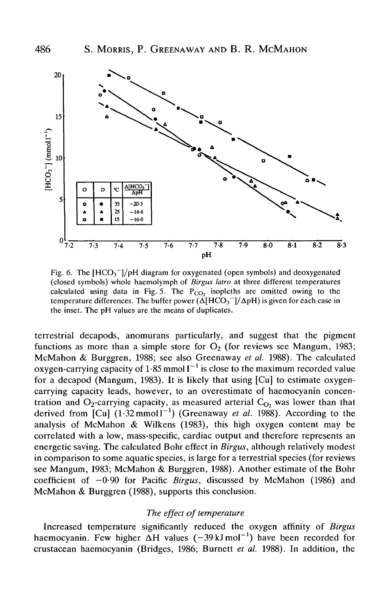

Fig. 6. The  $[HCO<sub>3</sub>^-]/pH$  diagram for oxygenated (open symbols) and deoxygenated (closed symbols) whole haemolymph of *Birgus latro* at three different temperatures calculated using data in Fig. 5. The  $P_{CO_2}$  isopleths are omitted owing to the temperature differences. The buffer power  $(\Delta[\text{HCO}_3^{-1}/\Delta \text{pH})$  is given for each case in the inset. The pH values are the means of duplicates.

terrestrial decapods, anomurans particularly, and suggest that the pigment functions as more than a simple store for  $O_2$  (for reviews see Mangum, 1983; McMahon & Burggren, 1988; see also Greenaway *et al.* 1988). The calculated oxygen-carrying capacity of 1.85 mmol  $l^{-1}$  is close to the maximum recorded value for a decapod (Mangum, 1983). It is likely that using [Cu] to estimate oxygencarrying capacity leads, however, to an overestimate of haemocyanin concentration and  $O_2$ -carrying capacity, as measured arterial  $C<sub>O</sub>$ , was lower than that derived from  $\lbrack \text{Cu} \rbrack$   $(1.32 \text{mmol } l^{-1})$  (Greenaway *et al.* 1988). According to the analysis of McMahon & Wilkens (1983), this high oxygen content may be correlated with a low, mass-specific, cardiac output and therefore represents an energetic saving. The calculated Bohr effect in *Birgus,* although relatively modest in comparison to some aquatic species, is large for a terrestrial species (for reviews see Mangum, 1983; McMahon & Burggren, 1988). Another estimate of the Bohr coefficient of —0-90 for Pacific *Birgus,* discussed by McMahon (1986) and McMahon & Burggren (1988), supports this conclusion.

### *The effect of temperature*

Increased temperature significantly reduced the oxygen affinity of *Birgus* haemocyanin. Few higher  $\Delta H$  values (-39 kJ mol<sup>-1</sup>) have been recorded for crustacean haemocyanin (Bridges, 1986; Burnett *et al.* 1988). In addition, the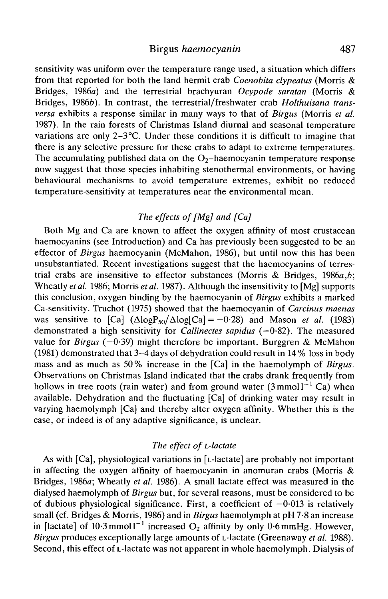## Birgus *haemocyanin* 487

sensitivity was uniform over the temperature range used, a situation which differs from that reported for both the land hermit crab *Coenobita dypeatus* (Morris & Bridges, 1986a) and the terrestrial brachyuran *Ocypode saratan* (Morris & Bridges, 19866). In contrast, the terrestrial/freshwater crab *Holthuisana transversa* exhibits a response similar in many ways to that of *Birgus* (Morris *et al.* 1987). In the rain forests of Christmas Island diurnal and seasonal temperature variations are only 2-3°C. Under these conditions it is difficult to imagine that there is any selective pressure for these crabs to adapt to extreme temperatures. The accumulating published data on the  $O<sub>2</sub>$ -haemocyanin temperature response now suggest that those species inhabiting stenothermal environments, or having behavioural mechanisms to avoid temperature extremes, exhibit no reduced temperature-sensitivity at temperatures near the environmental mean.

# *The effects of [Mg] and [Ca]*

Both Mg and Ca are known to affect the oxygen affinity of most crustacean haemocyanins (see Introduction) and Ca has previously been suggested to be an effector of *Birgus* haemocyanin (McMahon, 1986), but until now this has been unsubstantiated. Recent investigations suggest that the haemocyanins of terrestrial crabs are insensitive to effector substances (Morris & Bridges, 1986a,*b;* Wheatly *etal.* 1986; Morris *etal.* 1987). Although the insensitivity to [Mg] supports this conclusion, oxygen binding by the haemocyanin of *Birgus* exhibits a marked Ca-sensitivity. Truchot (1975) showed that the haemocyanin of *Carcinus maenas* was sensitive to  $\text{[Ca]}$   $(\Delta \text{log}P_{50}/\Delta \text{log} \text{[Ca]} = -0.28)$  and Mason *et al.* (1983) demonstrated a high sensitivity for *Callinectes sapidus* (—0-82). The measured value for *Birgus* (-0-39) might therefore be important. Burggren & McMahon (1981) demonstrated that 3-4 days of dehydration could result in 14 % loss in body mass and as much as 50% increase in the [Ca] in the haemolymph of *Birgus.* Observations on Christmas Island indicated that the crabs drank frequently from hollows in tree roots (rain water) and from ground water  $(3 \text{ mmol1}^{-1} \text{ Ca})$  when available. Dehydration and the fluctuating [Ca] of drinking water may result in varying haemolymph [Ca] and thereby alter oxygen affinity. Whether this is the case, or indeed is of any adaptive significance, is unclear.

## *The effect of L-lactate*

As with [Ca], physiological variations in [L-lactate] are probably not important in affecting the oxygen affinity of haemocyanin in anomuran crabs (Morris & Bridges, 1986a; Wheatly *et al.* 1986). A small lactate effect was measured in the dialysed haemolymph of *Birgus* but, for several reasons, must be considered to be of dubious physiological significance. First, a coefficient of  $-0.013$  is relatively small (cf. Bridges & Morris, 1986) and in *Birgus* haemolymph at pH 7-8 an increase in [lactate] of 10.3 mmol  $I^{-1}$  increased  $O_2$  affinity by only 0.6 mmHg. However, *Birgus* produces exceptionally large amounts of L-lactate (Greenaway *et al.* 1988). Second, this effect of L-lactate was not apparent in whole haemolymph. Dialysis of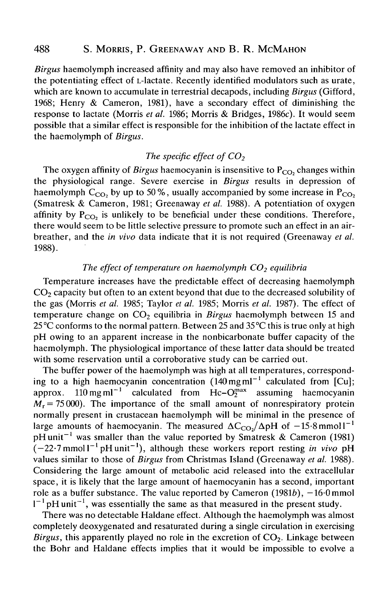*Birgus* haemolymph increased affinity and may also have removed an inhibitor of the potentiating effect of L-lactate. Recently identified modulators such as urate, which are known to accumulate in terrestrial decapods, including *Birgus* (Gifford, 1968; Henry & Cameron, 1981), have a secondary effect of diminishing the response to lactate (Morris *et al.* 1986; Morris & Bridges, 1986c). It would seem possible that a similar effect is responsible for the inhibition of the lactate effect in the haemolymph of *Birgus.*

## *The specific effect of CO<sub>2</sub>*

The oxygen affinity of *Birgus* haemocyanin is insensitive to  $P_{CO}$ , changes within the physiological range. Severe exercise in *Birgus* results in depression of haemolymph  $C_{CO_2}$  by up to 50%, usually accompanied by some increase in P<sub>CO</sub>. (Smatresk & Cameron, 1981; Greenaway *et al.* 1988). A potentiation of oxygen affinity by  $P_{CO_2}$  is unlikely to be beneficial under these conditions. Therefore, there would seem to be little selective pressure to promote such an effect in an airbreather, and the *in vivo* data indicate that it is not required (Greenaway *et al.* 1988).

## The effect of temperature on haemolymph CO<sub>2</sub> equilibria

Temperature increases have the predictable effect of decreasing haemolymph  $CO<sub>2</sub>$  capacity but often to an extent beyond that due to the decreased solubility of the gas (Morris *et al.* 1985; Taylor *et al.* 1985; Morris *et al.* 1987). The effect of temperature change on CO<sub>2</sub> equilibria in *Birgus* haemolymph between 15 and 25 °C conforms to the normal pattern. Between 25 and 35°C this is true only at high pH owing to an apparent increase in the nonbicarbonate buffer capacity of the haemolymph. The physiological importance of these latter data should be treated with some reservation until a corroborative study can be carried out.

The buffer power of the haemolymph was high at all temperatures, corresponding to a high haemocyanin concentration  $(140 \text{ mg} \text{ ml}^{-1})$  calculated from  $\text{[Cu]}$ ; approx.  $110 \text{ mg ml}^{-1}$  calculated from Hc- $\text{O}_2^{\text{max}}$  assuming haemocyanin  $M_r = 75000$ ). The importance of the small amount of nonrespiratory protein normally present in crustacean haemolymph will be minimal in the presence of large amounts of haemocyanin. The measured  $\Delta C_{CO} / \Delta pH$  of  $-15.8$  mmoll<sup>-1</sup> pH unit<sup>-1</sup> was smaller than the value reported by Smatresk & Cameron (1981)  $(-22.7 \text{ mmol1}^{-1} \text{pH unit}^{-1})$ , although these workers report resting *in vivo* pH values similar to those of *Birgus* from Christmas Island (Greenaway *et al.* 1988). Considering the large amount of metabolic acid released into the extracellular space, it is likely that the large amount of haemocyanin has a second, important role as a buffer substance. The value reported by Cameron  $(1981b)$ ,  $-16.0$  mmol  $I^{-1}$  pH unit<sup>-1</sup>, was essentially the same as that measured in the present study.

There was no detectable Haldane effect. Although the haemolymph was almost completely deoxygenated and resaturated during a single circulation in exercising *Birgus*, this apparently played no role in the excretion of  $CO<sub>2</sub>$ . Linkage between the Bohr and Haldane effects implies that it would be impossible to evolve a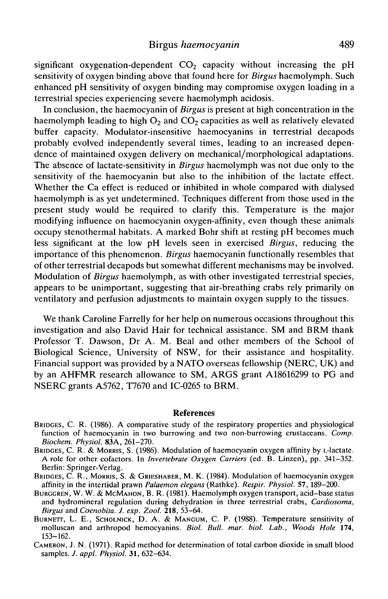significant oxygenation-dependent  $CO<sub>2</sub>$  capacity without increasing the pH sensitivity of oxygen binding above that found here for *Birgus* haemolymph. Such enhanced pH sensitivity of oxygen binding may compromise oxygen loading in a terrestrial species experiencing severe haemolymph acidosis.

In conclusion, the haemocyanin of *Birgus* is present at high concentration in the haemolymph leading to high  $O<sub>2</sub>$  and  $CO<sub>2</sub>$  capacities as well as relatively elevated buffer capacity. Modulator-insensitive haemocyanins in terrestrial decapods probably evolved independently several times, leading to an increased dependence of maintained oxygen delivery on mechanical/morphological adaptations. The absence of lactate-sensitivity in *Birgus* haemolymph was not due only to the sensitivity of the haemocyanin but also to the inhibition of the lactate effect. Whether the Ca effect is reduced or inhibited in whole compared with dialysed haemolymph is as yet undetermined. Techniques different from those used in the present study would be required to clarify this. Temperature is the major modifying influence on haemocyanin oxygen-affinity, even though these animals occupy stenothermal habitats. A marked Bohr shift at resting pH becomes much less significant at the low pH levels seen in exercised *Birgus,* reducing the importance of this phenomenon. *Birgus* haemocyanin functionally resembles that of other terrestrial decapods but somewhat different mechanisms may be involved. Modulation of *Birgus* haemolymph, as with other investigated terrestrial species, appears to be unimportant, suggesting that air-breathing crabs rely primarily on ventilatory and perfusion adjustments to maintain oxygen supply to the tissues.

We thank Caroline Farrelly for her help on numerous occasions throughout this investigation and also David Hair for technical assistance. SM and BRM thank Professor T. Dawson, Dr A. M. Beal and other members of the School of Biological Science, University of NSW, for their assistance and hospitality. Financial support was provided by a NATO overseas fellowship (NERC, UK) and by an AHFMR research allowance to SM, ARGS grant A18616299 to PG and NSERC grants A5762, T7670 and IC-0265 to BRM.

#### References

- BRIDGES, C. R. (1986). A comparative study of the respiratory properties and physiological function of haemocyanin in two burrowing and two non-burrowing crustaceans. *Comp.*
- Biochem. Physiol. 83A, 261-270.<br>BRIDGES, C. R. & MORRIS, S. (1986). Modulation of haemocyanin oxygen affinity by L-lactate.<br>A role for other cofactors. In *Invertebrate Oxygen Carriers* (ed. B. Linzen), pp. 341-352.<br>Berlin
- BRIDGES, C. R., MORRIS, S. & GRIESHABER, M. K. (1984). Modulation of haemocyanin oxygen affinity in the intertidal prawn *Palaemon elegans* (Rathke). *Respir. Physiol.* 57, 189–200.
- BURGGREN, W. W. & McMAHON, B. R. (1981). Haemolymph oxygen transport, acid-base status and hydromineral regulation during dehydration in three terrestrial crabs, *Cardiosoma,*
- BURNETT, L. E., SCHOLNICK, D. A. & MANGUM, C. P. (1988). Temperature sensitivity of molluscan and arthropod hemocyanins. *Biol. Bull. mar. biol. Lab., Woods Hole* 174, 153–162.<br>CAMERON, J. N. (1971). Rapid method for determination of total carbon dioxide in small blood
- samples. *J. appl. Physiol.* 31, 632-634.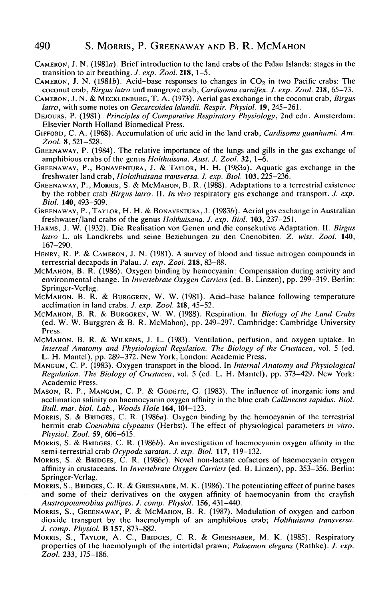- CAMERON, J. N. (1981a). Brief introduction to the land crabs of the Palau Islands: stages in the transition to air breathing. *J. exp. Zool.* **218,** 1-5.
- CAMERON, J. N. (1981b). Acid-base responses to changes in  $CO<sub>2</sub>$  in two Pacific crabs: The coconut crab, *Birgus latro* and mangrove crab, *Cardisoma carnifex. J. exp. Zool.* **218,** 65-73.
- CAMERON, J. N. & MECKLENBURG, T. A. (1973). Aerial gas exchange in the coconut crab, *Birgus latro,* with some notes on *Gecarcoidea lalandii. Respir. Physiol.* 19, 245-261.
- DEJOURS, P. (1981). *Principles of Comparative Respiratory Physiology,* 2nd edn. Amsterdam: Elsevier North Holland Biomedical Press.
- GIFFORD, C. A. (1968). Accumulation of uric acid in the land crab, *Cardisoma guanhumi. Am. Zool.* 8, 521-528.
- GREENAWAY, P. (1984). The relative importance of the lungs and gills in the gas exchange of amphibious crabs of the genus *Holthuisana. Aust. J. Zool.* **32,** 1-6.
- GREENAWAY, P., BONAVENTURA, J. & TAYLOR, H. H. (1983a). Aquatic gas exchange in the freshwater land crab, *Holothuisana transversa. J. exp. Biol.* **103,** 225-236.
- GREENAWAY, P., MORRIS, S. & McMAHON, B. R. (1988). Adaptations to a terrestrial existence by the robber crab *Birgus latro.* II. *In vivo* respiratory gas exchange and transport. *J. exp. Biol.* **140,** 493-509.
- GREENAWAY, P., TAYLOR, H. H. & BONAVENTURA, J. (1983b). Aerial gas exchange in Australian freshwater/land crabs of the genus *Holthuisana. J. exp. Biol.* **103,** 237-251.
- HARMS, J. W. (1932). Die Realisation von Genen und die consekutive Adaptation. II. *Birgus latro* L. als Landkrebs und seine Beziehungen zu den Coenobiten. Z. *wiss. Zool.* **140,** 167-290.
- HENRY, R. P. & CAMERON, J. N. (1981). A survey of blood and tissue nitrogen compounds in terrestrial decapods in Palau. *J. exp. Zool.* **218,** 83-88.
- MCMAHON, B. R. (1986). Oxygen binding by hemocyanin: Compensation during activity and environmental change. In *Invertebrate Oxygen Carriers* (ed. B. Linzen), pp. 299-319. Berlin: Springer-Verlag.
- MCMAHON, B. R. & BURGGREN, W. W. (1981). Acid-base balance following temperature acclimation in land crabs. *J. exp. Zool.* **218,** 45-52.
- MCMAHON, B. R. & BURGGREN, W. W. (1988). Respiration. In *Biology of the Land Crabs* (ed. W. W. Burggren & B. R. McMahon), pp. 249-297. Cambridge: Cambridge University Press.
- MCMAHON, B. R. & WILKENS, J. L. (1983). Ventilation, perfusion, and oxygen uptake. In *Internal Anatomy and Physiological Regulation. The Biology of the Crustacea,* vol. 5 (ed. L. H. Mantel), pp. 289-372. New York, London: Academic Press.
- MANGUM, C. P. (1983). Oxygen transport in the blood. In *Internal Anatomy and Physiological Regulation. The Biology of Crustacea,* vol. 5 (ed. L. H. Mantel), pp. 373-429. New York: Academic Press.
- MASON, R. P., MANGUM, C. P. & GODETTE, G. (1983). The influence of inorganic ions and acclimation salinity on haemocyanin oxygen affinity in the blue crab *Callinectes sapidus. Biol. Bull. mar. biol. Lab., Woods Hole* **164,** 104-123.
- MORRIS, S. & BRIDGES, C. R. (1986a). Oxygen binding by the hemocyanin of the terrestrial hermit crab *Coenobita clypeatus* (Herbst). The effect of physiological parameters *in vitro. Physiol. Zool.* 59, 606-615.
- MORRIS, S. & BRIDGES, C. R. (1986b). An investigation of haemocyanin oxygen affinity in the semi-terrestrial crab *Ocypode saratan. J. exp. Biol.* **117,** 119-132.
- MORRIS, S. & BRIDGES, C. R. (1986c). Novel non-lactate cofactors of haemocyanin oxygen affinity in crustaceans. In *Invertebrate Oxygen Carriers* (ed. B. Linzen), pp. 353-356. Berlin: Springer-Verlag.
- MORRIS, S., BRIDGES, C. R. & GRIESHABER, M. K. (1986). The potentiating effect of purine bases and some of their derivatives on the oxygen affinity of haemocyanin from the crayfish *Austropotamobius pallipes. J. comp. Physiol.* **156,** 431-440.
- MORRIS, S., GREENAWAY, P. & MCMAHON, B. R. (1987). Modulation of oxygen and carbon dioxide transport by the haemolymph of an amphibious crab; *Holthuisana transversa. J. comp. Physiol.* B **157,** 873-882.
- MORRIS, S., TAYLOR, A. C, BRIDGES, C. R. & GRIESHABER, M. K. (1985). Respiratory properties of the haemolymph of the intertidal prawn; *Palaemon elegans* (Rathke). *J. exp. Zool.* **233,** 175-186.